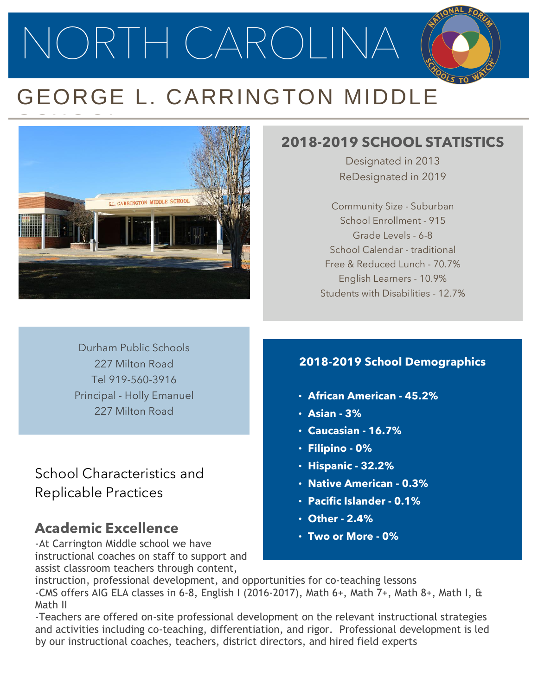NORTH CAROLINA

# GEORGE L. CARRINGTON MIDDLE



# **2018-2019 SCHOOL STATISTICS**

Designated in 2013 ReDesignated in 2019

Community Size - Suburban School Enrollment - 915 Grade Levels - 6-8 School Calendar - traditional Free & Reduced Lunch - 70.7% English Learners - 10.9% Students with Disabilities - 12.7%

Durham Public Schools 227 Milton Road Tel 919-560-3916 Principal - Holly Emanuel 227 Milton Road

School Characteristics and Replicable Practices

# **Academic Excellence**

-At Carrington Middle school we have instructional coaches on staff to support and assist classroom teachers through content,

#### **2018-2019 School Demographics**

- **African American - 45.2%**
- **Asian - 3%**
- **Caucasian - 16.7%**
- **Filipino - 0%**
- **Hispanic - 32.2%**
- **Native American - 0.3%**
- **Pacific Islander - 0.1%**
- **Other - 2.4%**
- **Two or More - 0%**

instruction, professional development, and opportunities for co-teaching lessons -CMS offers AIG ELA classes in 6-8, English I (2016-2017), Math 6+, Math 7+, Math 8+, Math I, & Math II

-Teachers are offered on-site professional development on the relevant instructional strategies and activities including co-teaching, differentiation, and rigor. Professional development is led by our instructional coaches, teachers, district directors, and hired field experts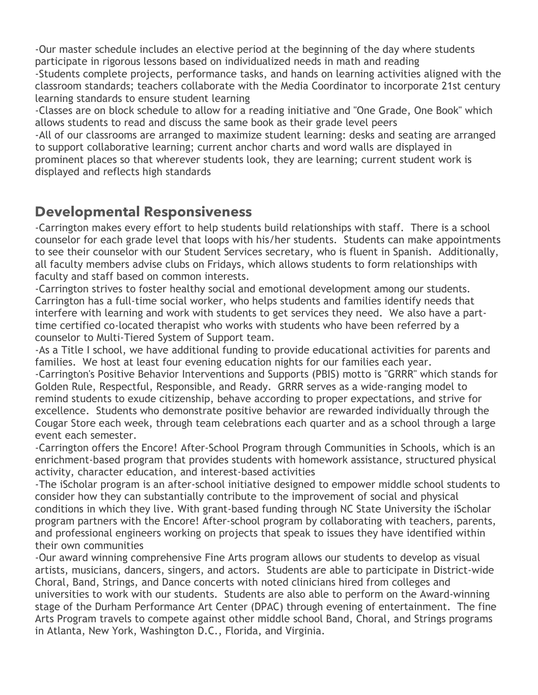-Our master schedule includes an elective period at the beginning of the day where students participate in rigorous lessons based on individualized needs in math and reading

-Students complete projects, performance tasks, and hands on learning activities aligned with the classroom standards; teachers collaborate with the Media Coordinator to incorporate 21st century learning standards to ensure student learning

-Classes are on block schedule to allow for a reading initiative and "One Grade, One Book" which allows students to read and discuss the same book as their grade level peers

-All of our classrooms are arranged to maximize student learning: desks and seating are arranged to support collaborative learning; current anchor charts and word walls are displayed in prominent places so that wherever students look, they are learning; current student work is displayed and reflects high standards

## **Developmental Responsiveness**

-Carrington makes every effort to help students build relationships with staff. There is a school counselor for each grade level that loops with his/her students. Students can make appointments to see their counselor with our Student Services secretary, who is fluent in Spanish. Additionally, all faculty members advise clubs on Fridays, which allows students to form relationships with faculty and staff based on common interests.

-Carrington strives to foster healthy social and emotional development among our students. Carrington has a full-time social worker, who helps students and families identify needs that interfere with learning and work with students to get services they need. We also have a parttime certified co-located therapist who works with students who have been referred by a counselor to Multi-Tiered System of Support team.

-As a Title I school, we have additional funding to provide educational activities for parents and families. We host at least four evening education nights for our families each year.

-Carrington's Positive Behavior Interventions and Supports (PBIS) motto is "GRRR" which stands for Golden Rule, Respectful, Responsible, and Ready. GRRR serves as a wide-ranging model to remind students to exude citizenship, behave according to proper expectations, and strive for excellence. Students who demonstrate positive behavior are rewarded individually through the Cougar Store each week, through team celebrations each quarter and as a school through a large event each semester.

-Carrington offers the Encore! After-School Program through Communities in Schools, which is an enrichment-based program that provides students with homework assistance, structured physical activity, character education, and interest-based activities

-The iScholar program is an after-school initiative designed to empower middle school students to consider how they can substantially contribute to the improvement of social and physical conditions in which they live. With grant-based funding through NC State University the iScholar program partners with the Encore! After-school program by collaborating with teachers, parents, and professional engineers working on projects that speak to issues they have identified within their own communities

-Our award winning comprehensive Fine Arts program allows our students to develop as visual artists, musicians, dancers, singers, and actors. Students are able to participate in District-wide Choral, Band, Strings, and Dance concerts with noted clinicians hired from colleges and universities to work with our students. Students are also able to perform on the Award-winning stage of the Durham Performance Art Center (DPAC) through evening of entertainment. The fine Arts Program travels to compete against other middle school Band, Choral, and Strings programs in Atlanta, New York, Washington D.C., Florida, and Virginia.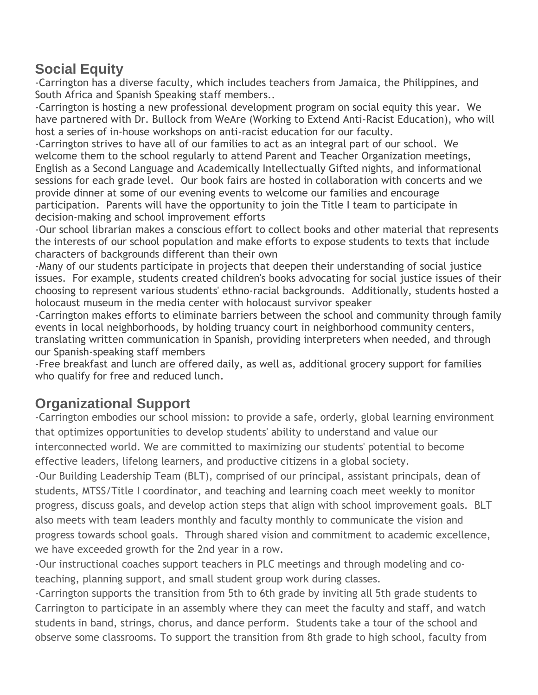## **Social Equity**

-Carrington has a diverse faculty, which includes teachers from Jamaica, the Philippines, and South Africa and Spanish Speaking staff members..

-Carrington is hosting a new professional development program on social equity this year. We have partnered with Dr. Bullock from WeAre (Working to Extend Anti-Racist Education), who will host a series of in-house workshops on anti-racist education for our faculty.

-Carrington strives to have all of our families to act as an integral part of our school. We welcome them to the school regularly to attend Parent and Teacher Organization meetings, English as a Second Language and Academically Intellectually Gifted nights, and informational sessions for each grade level. Our book fairs are hosted in collaboration with concerts and we provide dinner at some of our evening events to welcome our families and encourage participation. Parents will have the opportunity to join the Title I team to participate in decision-making and school improvement efforts

-Our school librarian makes a conscious effort to collect books and other material that represents the interests of our school population and make efforts to expose students to texts that include characters of backgrounds different than their own

-Many of our students participate in projects that deepen their understanding of social justice issues. For example, students created children's books advocating for social justice issues of their choosing to represent various students' ethno-racial backgrounds. Additionally, students hosted a holocaust museum in the media center with holocaust survivor speaker

-Carrington makes efforts to eliminate barriers between the school and community through family events in local neighborhoods, by holding truancy court in neighborhood community centers, translating written communication in Spanish, providing interpreters when needed, and through our Spanish-speaking staff members

-Free breakfast and lunch are offered daily, as well as, additional grocery support for families who qualify for free and reduced lunch.

## **Organizational Support**

-Carrington embodies our school mission: to provide a safe, orderly, global learning environment that optimizes opportunities to develop students' ability to understand and value our interconnected world. We are committed to maximizing our students' potential to become effective leaders, lifelong learners, and productive citizens in a global society.

-Our Building Leadership Team (BLT), comprised of our principal, assistant principals, dean of students, MTSS/Title I coordinator, and teaching and learning coach meet weekly to monitor progress, discuss goals, and develop action steps that align with school improvement goals. BLT also meets with team leaders monthly and faculty monthly to communicate the vision and progress towards school goals. Through shared vision and commitment to academic excellence, we have exceeded growth for the 2nd year in a row.

-Our instructional coaches support teachers in PLC meetings and through modeling and coteaching, planning support, and small student group work during classes.

-Carrington supports the transition from 5th to 6th grade by inviting all 5th grade students to Carrington to participate in an assembly where they can meet the faculty and staff, and watch students in band, strings, chorus, and dance perform. Students take a tour of the school and observe some classrooms. To support the transition from 8th grade to high school, faculty from